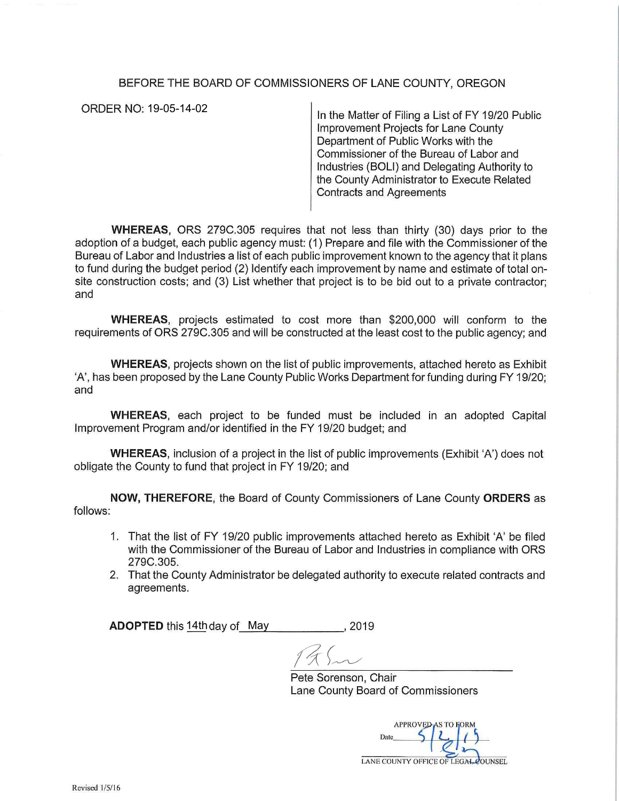## BEFORE THE BOARD OF COMMISSIONERS OF LANE COUNTY, OREGON

ORDER NO: 19-05-14-02

In the Matter of Filing a List of FY 19/20 Public Improvement Projects for Lane County Department of Public Works with the Commissioner of the Bureau of Labor and Industries (BOLi) and Delegating Authority to the County Administrator to Execute Related Contracts and Agreements

**WHEREAS,** ORS 279C.305 requires that not less than thirty (30) days prior to the adoption of a budget, each public agency must: (1) Prepare and file with the Commissioner of the Bureau of Labor and Industries a list of each public improvement known to the agency that it plans to fund during the budget period (2) Identify each improvement by name and estimate of total onsite construction costs; and (3) List whether that project is to be bid out to a private contractor; and

**WHEREAS,** projects estimated to cost more than \$200,000 will conform to the requirements of ORS 279C.305 and will be constructed at the least cost to the public agency; and

**WHEREAS,** projects shown on the list of public improvements, attached hereto as Exhibit 'A', has been proposed by the Lane County Public Works Department for funding during FY 19/20; and

**WHEREAS,** each project to be funded must be included in an adopted Capital Improvement Program and/or identified in the FY 19/20 budget; and

**WHEREAS,** inclusion of a project in the list of public improvements (Exhibit 'A') does not obligate the County to fund that project in FY 19/20; and

**NOW, THEREFORE,** the Board of County Commissioners of Lane County **ORDERS** as follows:

- 1. That the list of FY 19/20 public improvements attached hereto as Exhibit 'A' be filed with the Commissioner of the Bureau of Labor and Industries in compliance with ORS 279C.305.
- 2. That the County Administrator be delegated authority to execute related contracts and agreements.

**ADOPTED** this <u>14th</u>day of \_May \_\_\_\_\_\_\_\_\_\_\_\_, 2019

Pete Sorenson, Chair Lane County Board of Commissioners

**APPROVED AS TO FORM** Date LANE COUNTY OFFICE OF LEGAL COUNSEL